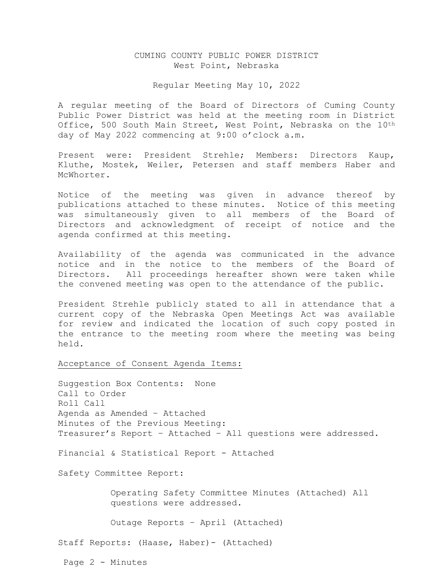# CUMING COUNTY PUBLIC POWER DISTRICT West Point, Nebraska

## Regular Meeting May 10, 2022

A regular meeting of the Board of Directors of Cuming County Public Power District was held at the meeting room in District Office, 500 South Main Street, West Point, Nebraska on the 10th day of May 2022 commencing at 9:00 o'clock a.m.

Present were: President Strehle; Members: Directors Kaup, Kluthe, Mostek, Weiler, Petersen and staff members Haber and McWhorter.

Notice of the meeting was given in advance thereof by publications attached to these minutes. Notice of this meeting was simultaneously given to all members of the Board of Directors and acknowledgment of receipt of notice and the agenda confirmed at this meeting.

Availability of the agenda was communicated in the advance notice and in the notice to the members of the Board of Directors. All proceedings hereafter shown were taken while the convened meeting was open to the attendance of the public.

President Strehle publicly stated to all in attendance that a current copy of the Nebraska Open Meetings Act was available for review and indicated the location of such copy posted in the entrance to the meeting room where the meeting was being held.

Acceptance of Consent Agenda Items:

| Suggestion Box Contents: None<br>Call to Order                |
|---------------------------------------------------------------|
| Roll Call                                                     |
| Agenda as Amended - Attached                                  |
| Minutes of the Previous Meeting:                              |
| Treasurer's Report - Attached - All questions were addressed. |
| Financial & Statistical Report - Attached                     |
| Safety Committee Report:                                      |

 Operating Safety Committee Minutes (Attached) All questions were addressed.

Outage Reports – April (Attached)

Staff Reports: (Haase, Haber)- (Attached)

Page 2 - Minutes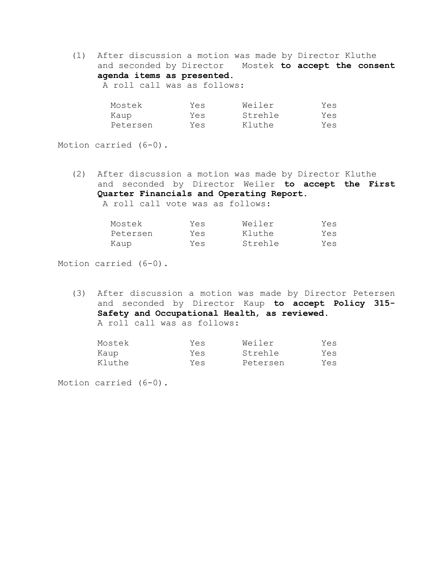(1) After discussion a motion was made by Director Kluthe and seconded by Director Mostek **to accept the consent agenda items as presented.** A roll call was as follows:

| Mostek   | Yes | Weiler  | Yes |
|----------|-----|---------|-----|
| Kaup     | Yes | Strehle | Yes |
| Petersen | Yes | Kluthe  | Yes |

Motion carried (6-0).

(2) After discussion a motion was made by Director Kluthe and seconded by Director Weiler **to accept the First Quarter Financials and Operating Report.** A roll call vote was as follows:

| Mostek   | Yes | Weiler  | Yes |
|----------|-----|---------|-----|
| Petersen | Yes | Kluthe  | Yes |
| Kaup     | Yes | Strehle | Yes |

Motion carried (6-0).

(3) After discussion a motion was made by Director Petersen and seconded by Director Kaup **to accept Policy 315- Safety and Occupational Health**, **as reviewed.** A roll call was as follows:

| Mostek | Yes | Weiler   | Yes |
|--------|-----|----------|-----|
| Kaup   | Yes | Strehle  | Yes |
| Kluthe | Yes | Petersen | Yes |

Motion carried (6-0).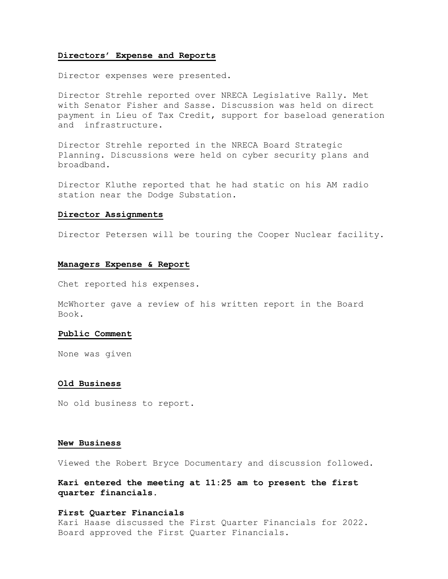## **Directors' Expense and Reports**

Director expenses were presented.

Director Strehle reported over NRECA Legislative Rally. Met with Senator Fisher and Sasse. Discussion was held on direct payment in Lieu of Tax Credit, support for baseload generation and infrastructure.

Director Strehle reported in the NRECA Board Strategic Planning. Discussions were held on cyber security plans and broadband.

Director Kluthe reported that he had static on his AM radio station near the Dodge Substation.

## **Director Assignments**

Director Petersen will be touring the Cooper Nuclear facility.

## **Managers Expense & Report**

Chet reported his expenses.

McWhorter gave a review of his written report in the Board Book.

## **Public Comment**

None was given

#### **Old Business**

No old business to report.

#### **New Business**

Viewed the Robert Bryce Documentary and discussion followed.

**Kari entered the meeting at 11:25 am to present the first quarter financials.** 

## **First Quarter Financials**

Kari Haase discussed the First Quarter Financials for 2022. Board approved the First Quarter Financials.